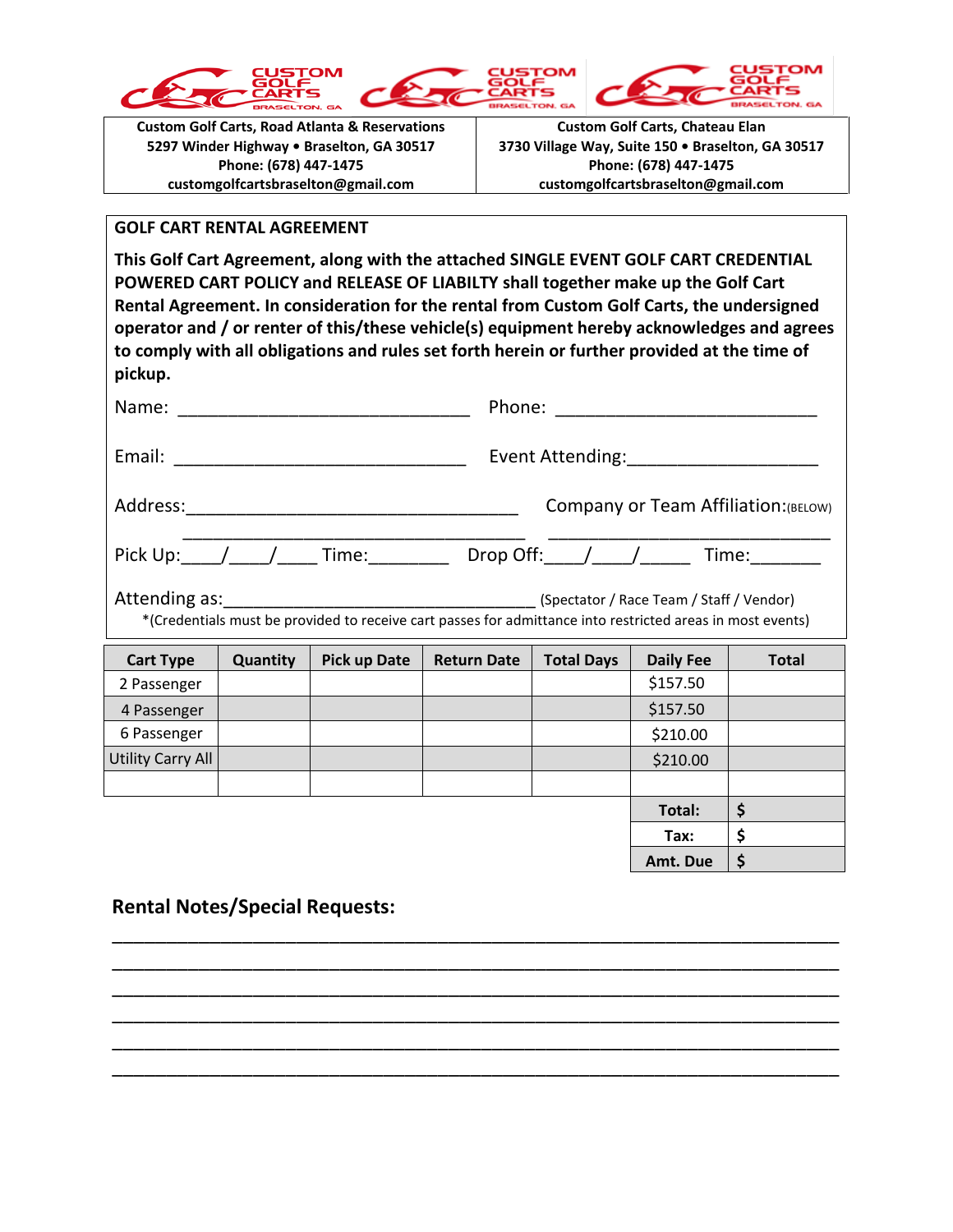





**Custom Golf Carts, Road Atlanta & Reservations 5297 Winder Highway • Braselton, GA 30517 Phone: (678) 447-1475 customgolfcartsbraselton@gmail.com**

**Custom Golf Carts, Chateau Elan 3730 Village Way, Suite 150 • Braselton, GA 30517 Phone: (678) 447-1475 customgolfcartsbraselton@gmail.com**

## **GOLF CART RENTAL AGREEMENT**

**This Golf Cart Agreement, along with the attached SINGLE EVENT GOLF CART CREDENTIAL POWERED CART POLICY and RELEASE OF LIABILTY shall together make up the Golf Cart Rental Agreement. In consideration for the rental from Custom Golf Carts, the undersigned operator and / or renter of this/these vehicle(s) equipment hereby acknowledges and agrees to comply with all obligations and rules set forth herein or further provided at the time of pickup.**

|                                                                                                            |          |                                      |                    | Event Attending:____________________ |                  |              |  |  |
|------------------------------------------------------------------------------------------------------------|----------|--------------------------------------|--------------------|--------------------------------------|------------------|--------------|--|--|
|                                                                                                            |          | Company or Team Affiliation: (BELOW) |                    |                                      |                  |              |  |  |
| Pick Up: /__/___/____Time:___________Drop Off:___/___/_______Time:________                                 |          |                                      |                    |                                      |                  |              |  |  |
| *(Credentials must be provided to receive cart passes for admittance into restricted areas in most events) |          |                                      |                    |                                      |                  |              |  |  |
| <b>Cart Type</b>                                                                                           | Quantity | <b>Pick up Date</b>                  | <b>Return Date</b> | <b>Total Days</b>                    | <b>Daily Fee</b> | <b>Total</b> |  |  |
| 2 Passenger                                                                                                |          |                                      |                    |                                      | \$157.50         |              |  |  |
| 4 Passenger                                                                                                |          |                                      |                    |                                      | \$157.50         |              |  |  |
| 6 Passenger                                                                                                |          |                                      |                    |                                      | \$210.00         |              |  |  |
| <b>Utility Carry All</b>                                                                                   |          |                                      |                    |                                      | \$210.00         |              |  |  |
|                                                                                                            |          |                                      |                    |                                      |                  |              |  |  |
|                                                                                                            |          |                                      |                    |                                      | Total:           | \$           |  |  |
|                                                                                                            |          |                                      |                    |                                      | Tax:             | \$           |  |  |
|                                                                                                            |          |                                      |                    |                                      | Amt. Due         | \$           |  |  |

\_\_\_\_\_\_\_\_\_\_\_\_\_\_\_\_\_\_\_\_\_\_\_\_\_\_\_\_\_\_\_\_\_\_\_\_\_\_\_\_\_\_\_\_\_\_\_\_\_\_\_\_\_\_\_\_\_\_\_\_\_\_\_\_\_\_\_ \_\_\_\_\_\_\_\_\_\_\_\_\_\_\_\_\_\_\_\_\_\_\_\_\_\_\_\_\_\_\_\_\_\_\_\_\_\_\_\_\_\_\_\_\_\_\_\_\_\_\_\_\_\_\_\_\_\_\_\_\_\_\_\_\_\_\_ \_\_\_\_\_\_\_\_\_\_\_\_\_\_\_\_\_\_\_\_\_\_\_\_\_\_\_\_\_\_\_\_\_\_\_\_\_\_\_\_\_\_\_\_\_\_\_\_\_\_\_\_\_\_\_\_\_\_\_\_\_\_\_\_\_\_\_ \_\_\_\_\_\_\_\_\_\_\_\_\_\_\_\_\_\_\_\_\_\_\_\_\_\_\_\_\_\_\_\_\_\_\_\_\_\_\_\_\_\_\_\_\_\_\_\_\_\_\_\_\_\_\_\_\_\_\_\_\_\_\_\_\_\_\_ \_\_\_\_\_\_\_\_\_\_\_\_\_\_\_\_\_\_\_\_\_\_\_\_\_\_\_\_\_\_\_\_\_\_\_\_\_\_\_\_\_\_\_\_\_\_\_\_\_\_\_\_\_\_\_\_\_\_\_\_\_\_\_\_\_\_\_ \_\_\_\_\_\_\_\_\_\_\_\_\_\_\_\_\_\_\_\_\_\_\_\_\_\_\_\_\_\_\_\_\_\_\_\_\_\_\_\_\_\_\_\_\_\_\_\_\_\_\_\_\_\_\_\_\_\_\_\_\_\_\_\_\_\_\_

## **Rental Notes/Special Requests:**